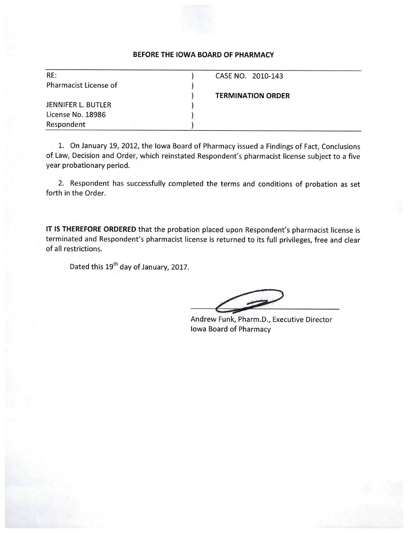| RE:                   | CASE NO. 2010-143        |  |
|-----------------------|--------------------------|--|
| Pharmacist License of |                          |  |
|                       | <b>TERMINATION ORDER</b> |  |
| JENNIFER L. BUTLER    |                          |  |
| License No. 18986     |                          |  |
| Respondent            |                          |  |

1. On January 19, 2012, the Iowa Board of Pharmacy issued a Findings of Fact, Conclusions of Law, Decision and Order, which reinstated Respondent's pharmacist license subject to a five year probationary period.

2. Respondent has successfully completed the terms and conditions of probation as set forth in the Order.

IT IS THEREFORE ORDERED that the probation placed upon Respondent's pharmacist license is terminated and Respondent's pharmacist license is returned to its full privileges, free and clear of all restrictions.

Dated this 19<sup>th</sup> day of January, 2017.

Andrew Funk, Pharm.D., Executive Director **Iowa Board of Pharmacy**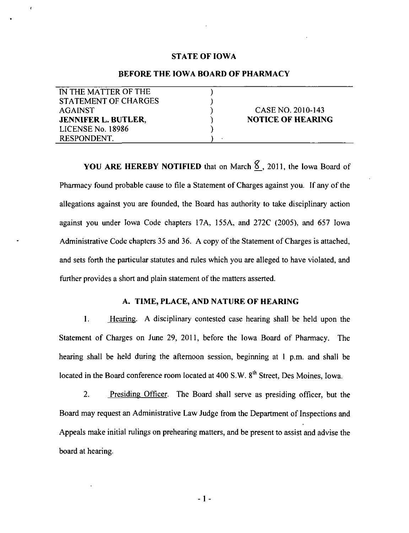#### STATE OF IOWA

### BEFORE THE IOWA BOARD OF PHARMACY

| IN THE MATTER OF THE        |                          |
|-----------------------------|--------------------------|
| <b>STATEMENT OF CHARGES</b> |                          |
| <b>AGAINST</b>              | CASE NO. 2010-143        |
| <b>JENNIFER L. BUTLER,</b>  | <b>NOTICE OF HEARING</b> |
| LICENSE No. 18986           |                          |
| RESPONDENT.                 |                          |

YOU ARE HEREBY NOTIFIED that on March  $\mathcal S$ , 2011, the Iowa Board of Pharmacy found probable cause to file a Statement of Charges against you. If any of the allegations against you are founded, the Board has authority to take disciplinary action against you under Iowa Code chapters 17A, 155A, and 272C (2005), and 657 Iowa Administrative Code chapters 35 and 36. A copy of the Statement of Charges is attached, and sets forth the particular statutes and rules which you are alleged to have violated, and further provides a short and plain statement of the matters asserted.

### A. TIME, PLACE, AND NATURE OF HEARING

1. Hearing. A disciplinary contested case hearing shall be held upon the Statement of Charges on June 29, 2011, before the Iowa Board of Pharmacy. The hearing shall be held during the aftemoon session, beginning at I p.m. and shall be located in the Board conference room located at 400 S.W. 8<sup>th</sup> Street, Des Moines, Iowa.

2. Presiding Officer. The Board shall serve as presiding officer, but the Board may request an Administrative Law Judge from the Department of Inspections and Appeals make initial rulings on prehearing matters, and be present to assist and advise the board at hearing.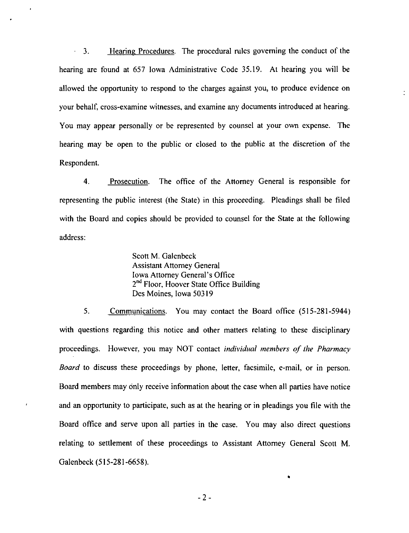$\cdot$  3. Hearing Procedures. The procedural rules governing the conduct of the hearing are found at 657 Iowa Administrative Code 35.19. At hearing you will be allowed the opportunity to respond to the charges against you, to produce evidence on your behalf, cross-examine witnesses, and examine any documents introduced at hearing. You may appear personally or be represented by counsel at your own expense. The hearing may be open to the public or closed to the public at the discretion of the Respondent.

4. Proseculion. The office of the Aitomey General is responsible for representing the public interest (the State) in this proceeding. Pleadings shall be filed with the Board and copies should be provided to counsel for the State at the following address:

> Scott M. Galenbeck Assistant Attomey General Iowa Attomey General's Office 2<sup>nd</sup> Floor, Hoover State Office Building Des Moines, Iowa 50319

5. Communications. You may contact the Board office (515-281-5944) with questions regarding this notice and other matters relating to these disciplinary proceedings. However, you may NOT contact individual members of the Pharmacy Board to discuss these proceedings by phone, letter, facsimile, e-mail, or in person. Board members may only receive information about the case when all parties have notice and an opportunity to participate, such as at the hearing or in pleadings you file with the Board office and serve upon all parties in the case. You may also direct questions relating to settlement of these proceedings to Assistant Attorney General Scott M. Galenbeck (515-281-6658).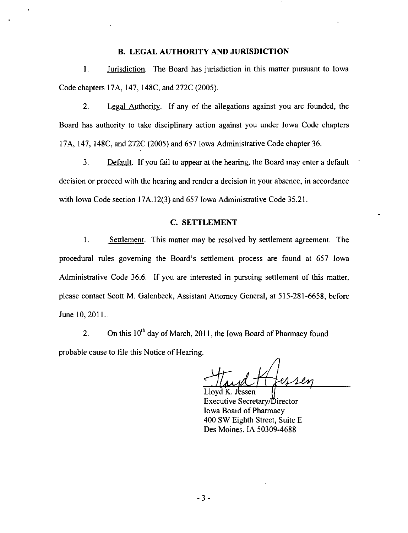#### B. LEGAL AUTHORITY AND JURISDICTION

1. Jurisdiction. The Board has jurisdiction in this matter pursuant to Iowa Code chapters 17A, 147, 148C, and 272C (2005).

2. Legal Authority. If any of the allegations against you are founded, the Board has authority to take disciplinary action against you under Iowa Code chapters 17A, 147, 148C, and 272C (2005) and 657 Iowa Administrative Code chapter 36.

3. Default. If you fail to appear at the hearing, the Board may enter a default decision or proceed wilh the hearing and render a decision in your absence, in accordance with Iowa Code section 17A.12(3) and 657 Iowa Administrative Code 35.21.

### C. SETTLEMENT

1. Settlement. This matter may be resolved by settlement agreement. The procedural rules goveming the Board's settlement process are found at 657 lowa Administrative Code 36.6. If you are interested in pursuing settlement of this matter, please contact Scott M. Galenbeck, Assistant Attomey General, at 515-281-6658, before June 10,2011.

2. On this  $10^{th}$  day of March, 2011, the Iowa Board of Pharmacy found probable cause to file this Notice of Hearing.

Maydt

Lloyd K. Jfessen Executive Secretary/Director Iowa Board of Pharmacy 400 SW Eighth Street, Suite E Des Moines, IA 50309-4688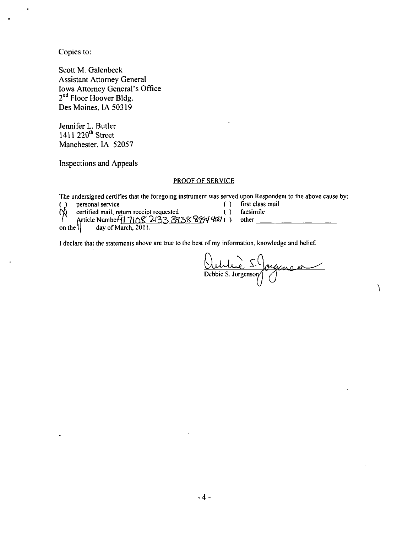Copies to:

Scott M. Galenbeck Assistani Attomey General Iowa Attomey General's Office 2<sup>no</sup> Floor Hoover Bldg. Des Moines, IA 50319

Jennifer L. Butler 1411 220<sup>"</sup> Street Manchester, IA 52057

Inspections and Appeals

#### PROOF OF SERVICE

The undersigned certifies that the foregoing instrument was served upon Respondent to the above cause by:<br>() personal service  $($ ) first class mail

|   | () personal service                               | () first class mail |
|---|---------------------------------------------------|---------------------|
| ς | certified mail, return receipt requested          | ( ) facsimile       |
|   | Article Number 17108 2133 3938 8994 4007 () other |                     |
|   | on the $\left  \right $ day of March, 2011.       |                     |

I declare that the statements above are true to the best of my information, knowledge and belief.

<u>Outrire</u> 5. Jougenses

 $\setminus$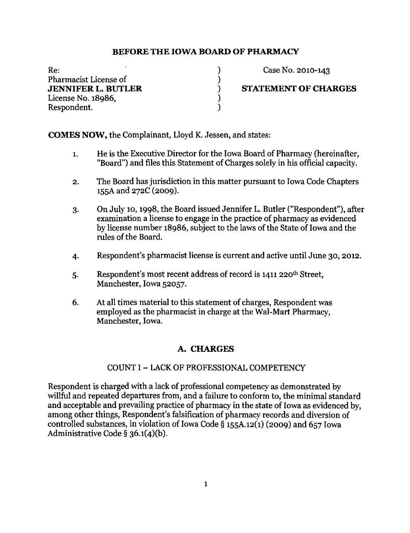)  $\mathcal{C}^{\prime}$  $\lambda$  $\mathcal{C}$ )

Re: Pharmacist License of JENNIFER L. BUTLER License No. 18986, Respondent.

Case No. 2010-143

### STATEMENT OF CHARGES

COMES NOW, the Complainant, Lloyd K. Jessen, and states:

- 1. He is the Executive Director for the Iowa Board of Pharmacy (hereinafter, "Board") and files this Statement of Charges solely in his official capacity.
- 2. The Board has jurisdiction in this matter pursuant to Iowa Code Chapters 155A and 272C (2009).
- 3. On July 10,1998, the Board issued Jennifer L. Butler ("Respondent"), after examination a license to engage in the practice of pharmacy as evidenced by license number 18986, subject to the laws of the State of Iowa and the rules of the Board.
- 4. Respondent's pharmacist license is current and active until June 30, 2012.
- 5. Respondent's most recent address of record is  $1411$  220<sup>th</sup> Street, Manchester, Iowa 52057.
- 6. At all times material to this statement of charges. Respondent was employed as the pharmacist in charge at the Wal-Mart Pharmacy, Manchester, Iowa.

### A. CHARGES

### COUNT I - LACK OF PROFESSIONAL COMPETENCY

Respondent is charged with a lack of professional competency as demonstrated by willful and repeated departures from, and a failure to conform to, the minimal standard and acceptable and prevailing practice of pharmacy in the state of Iowa as evidenced by, among other things, Respondent's falsification of pharmacy records and diversion of controlled substances, in violation of Iowa Code  $\S$  155A.12(1) (2009) and 657 Iowa Administrative Code § 36.1(4)(b).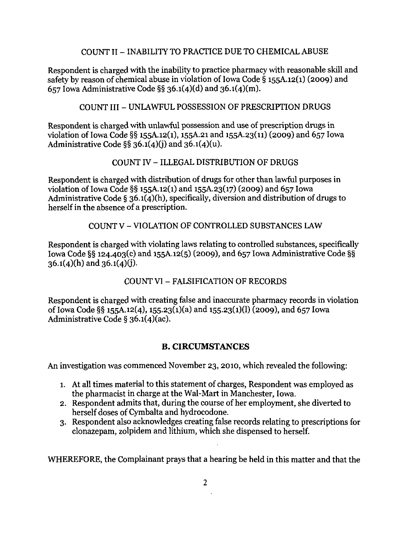## COUNT II - INABILITY TO PRACTICE DUE TO CHEMICAL ABUSE

Respondent is charged with the inability to practice pharmacy with reasonable skill and safety by reason of chemical abuse in violation of Iowa Code § i55A.i2(i) (2009) and 657 Iowa Administrative Code  $\S$ § 36.1(4)(d) and 36.1(4)(m).

### COUNT III - UNLAWFUL POSSESSION OF PRESCRIPTION DRUGS

Respondent is charged with unlawful possession and use of prescription drugs in violation of Iowa Code §§ i55A.i2(i), 155A.21 and i55A.23(ii) (2009) and 657 Iowa Administrative Code  $\S$ § 36.1(4)(j) and 36.1(4)(u).

## COUNT IV - ILLEGAL DISTRIBUTION OF DRUGS

Respondent is charged with distribution of drugs for other than lawful purposes in violation of Iowa Code §§ 155A.12(1) and 155A.23(17) (2009) and 657 Iowa Administrative Code § 36.1(4)(h), specifically, diversion and distribution of drugs to herself in the absence of a prescription.

### COUNT V - VIOLATION OF CONTROLLED SUBSTANCES LAW

Respondent is charged with violating laws relating to controlled substances, specifically Iowa Code §§ 124.403(c) and 155A.12(5) (2009), and 657 Iowa Administrative Code §§  $36.1(4)(h)$  and  $36.1(4)(j)$ .

# COUNT VI - FALSIFICATION OF RECORDS

Respondent is charged with creating false and inaccurate pharmacy records in violation of Iowa Code §§ 155A.12(4), 155.23(1)(a) and 155.23(1)(l) (2009), and 657 Iowa Administrative Code § 36.1(4)(ac).

# B, CIRCUMSTANCES

An investigation was commenced November 23, 2010, which revealed the following:

- 1. At all times material to this statement of charges, Respondent was employed as the pharmacist in charge at the Wal-Mart in Manchester, Iowa.
- 2. Respondent admits that, during the course of her employment, she diverted to herself doses of Cymbalta and hydrocodone.
- 3. Respondent also acknowledges creating false records relating to prescriptions for clonazepam, zolpidem and lithium, which she dispensed to herself.

WHEREFORE, the Complainant prays that a hearing be held in this matter and that the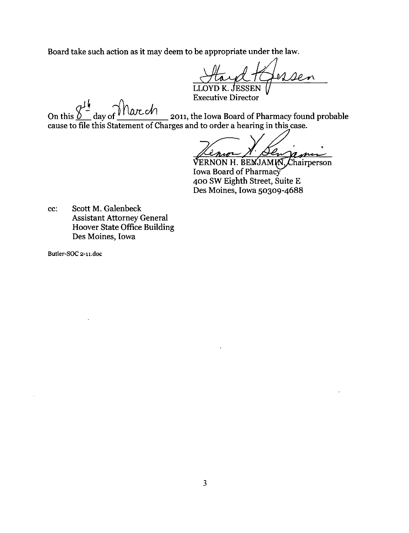Board take such action as it may deem to be appropriate under the law.

 $\ell$ m

LLOYD K. JESSEN  $\alpha$  Executive Director

On this  $0$  day of  $\frac{1}{200}$  day of  $\frac{1}{2011}$ , the Iowa Board of Pharmacy found probable cause to file this Statement of Charges and to order a hearing in this case.

amin

VERNON H. BEMJAMM, Chairperson Iowa Board of Pharmacy 400 SW Eighth Street, Suite E Des Moines, Iowa 50309-4688

cc: Scott M. Galenbeck Assistant Attorney General Hoover State Office Building Des Moines, Iowa

Butler-SOC 2-11.doc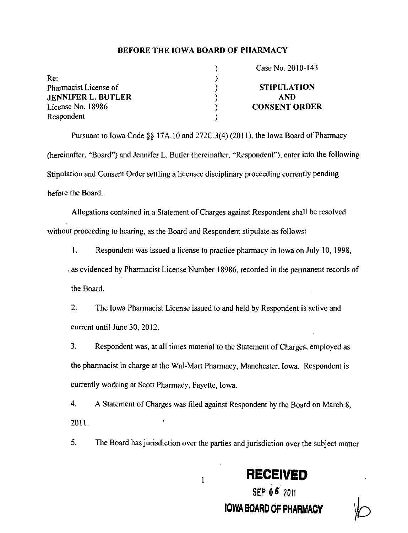|                           | Case No. 2010-143    |
|---------------------------|----------------------|
| Re:                       |                      |
| Pharmacist License of     | <b>STIPULATION</b>   |
| <b>JENNIFER L. BUTLER</b> | <b>AND</b>           |
| License No. 18986         | <b>CONSENT ORDER</b> |
| Respondent                |                      |

Pursuant to Iowa Code  $\S$ § 17A.10 and 272C.3(4) (2011), the Iowa Board of Pharmacy (hereinafter, "Board") and Jennifer L. Butler (hereinafter, "Respondent"), enter into the following Stipulation and Consent Order settling a licensee disciplinary proceeding currently pending before the Board.

Allegations contained in a Statement of Charges against Respondent shall be resolved without proceeding to hearing, as the Board and Respondent stipulate as follows:

1. Respondent was issued a license to practice pharmacy in Iowa on July 10, 1998, . as evidenced by Pharmacist License Number 18986, recorded in the permanent records of the Board.

2. The Iowa Pharmacist License issued to and held by Respondent is active and current until June 30, 2012.

3. Respondent was, at all times material to the Statement ofCharges. employed as the pharmacist in charge at the Wal-Mart Pharmacy, Manchester, Iowa. Respondent is currently working at Scott Pharmacy, Fayette, Iowa.

4. A Statement of Charges was filed against Respondent by the Board on March 8, 2011.

5. The Board has jurisdiction over the parties and jurisdiction over the subject matter



IOWA BOARD OF PHARMACY

SEP 06'2011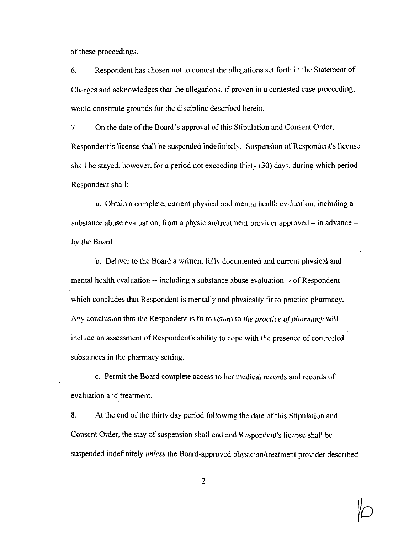of these proceedings.

6. Respondent has chosen not to contest the allegations set forth in the Statement of Charges and acknowledges that the allegations, if proven in a contested case proceeding, would constitute grounds for the discipline described herein.

7. On the date of the Board's approval of this Stipulation and Consent Order, Respondeni's license shall be suspended indefinitely. Suspension of Respondent's license shall be stayed, however, for a period not exceeding thirty (30) days, during which period Respondent shall:

a. Obtain a complete, current physical and mental health evaluation, including a substance abuse evaluation, from a physician/treatment provider approved  $-$  in advance  $$ by the Board.

b. Deliver to the Board a written, fully documented and current physical and mental health evaluation -- including a substance abuse evaluation -- of Respondent which concludes that Respondent is mentally and physically fit to practice pharmacy. Any conclusion that the Respondent is fit to return to the practice of pharmacy will include an assessment of Respondent's ability to cope with the presence of controlled substances in the pharmacy setting.

c. Pennit the Board complete access to her medical records and records of evaluation and treatment.

8. At the end of the thirty day period following the date of this Stipulation and Consent Order, the stay of suspension shall end and Respondent's license shall be suspended indefinitely *unless* the Board-approved physician/treatment provider described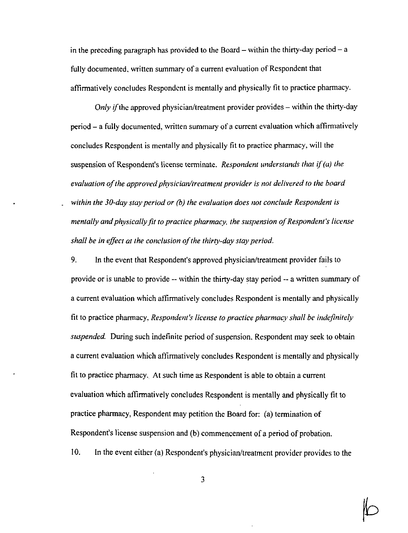in the preceding paragraph has provided to the Board – within the thirty-day period – a fully documented, written summary of a current evaluation of Respondent that affirmatively concludes Respondent is mentally and physically fil to practice pharmacy.

Only if the approved physician/treatment provider provides  $-$  within the thirty-day  $period - a fully documented, written summary of a current evaluation which affirmatively$ concludes Respondent is mentally and physically fit to practice pharmacy, will the suspension of Respondent's license terminate. Respondent understands that if  $(a)$  the evaluation of the approved physician/treatment provider is not delivered to the board within the 30-day stay period or (b) the evaluation does not conclude Respondent is mentally and physically fit to practice pharmacy, the suspension of Respondent's license shall be in effect at the conclusion of the thirty-day stay period.

9. In the event thai Respondent's approved physician/treatment provider fails to provide or is unable to provide ~ within the thirty-day stay period - a written summary of a current evaluation which affirmatively concludes Respondent is mentally and physically fit to practice pharmacy. Respondent's license to practice pharmacy shall be indefinitely suspended. During such indefinite period of suspension, Respondent may seek to obtain a current evaluation which affirmatively concludes Respondent is mentally and physically fit to practice phannacy. Al such lime as Respondent is able to obtain a current evaluation which affirmatively concludes Respondent is mentally and physically fit to practice pharmacy. Respondent may petition the Board for: (a) termination of Respondent's license suspension and (b) commencement of a period of probation.

10. In the event either (a) Respondent's physician/treatment provider provides to the

 $\mathbb b$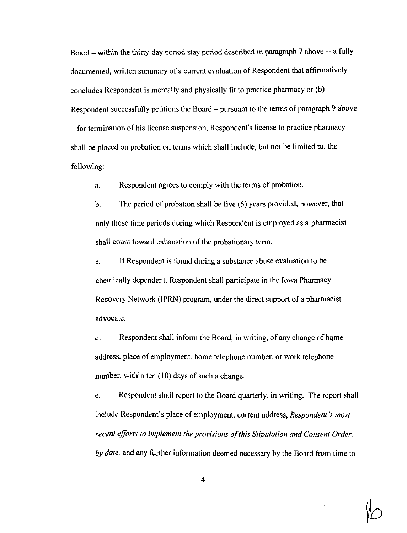Board – within the thirty-day period stay period described in paragraph 7 above -- a fully documented, written summary of a current evaluation of Respondent that affirmatively concludes Respondent is mentally and physically fit to practice pharmacy or (b) Respondent successfully petitions the Board  $-$  pursuant to the terms of paragraph  $9$  above - for termination of his license suspension, Respondent's license to practice pharmacy shall be placed on probation on terms which shall include, but not be limited to. the following:

a. Respondent agrees to comply with the terms of probation.

b. The period of probation shall be five (5) years provided, however, that only those time periods during which Respondent is employed as a pharmacist shall count toward exhaustion of the probationary term.

c. If Respondent is found during a substance abuse evaluation to be chemically dependeni, Respondent shall participate in the Iowa Pharmacy Recovery Network (IPRN) program, under the direct support of a pharmacist advocate.

d. Respondent shall inform the Board, in writing, of any change of home address, place of employment, home telephone number, or work telephone number, within ten (10) days of such a change.

e. Respondent shall report to the Board quarterly, in writing. The report shall include Respondent's place of employment, current address, Respondent's most recent efforts to implement the provisions of this Stipulation and Consent Order, by  $\delta$  ate, and any further information deemed necessary by the Board from time to

 $\overline{4}$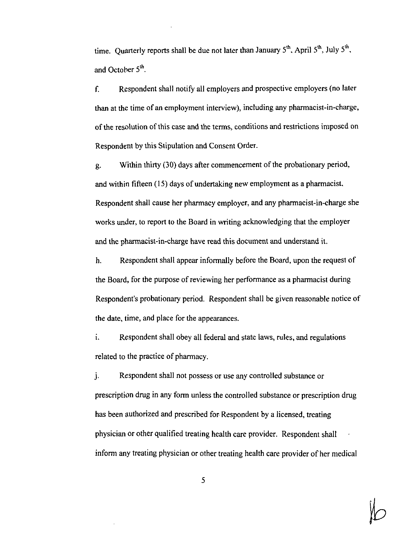time. Quarterly reports shall be due not later than January  $5^{th}$ , April  $5^{th}$ , July  $5^{th}$ , and October  $5<sup>th</sup>$ .

f. Respondent shall notify all employers and prospective employers (no later than at the time of an employment interview), including any pharmacist-in-charge, of the resolution of this case and the terms, conditions and restrictions imposed on Respondent by this Stipulation and Consent Order.

g. Within thirty  $(30)$  days after commencement of the probationary period, and within fifteen (15) days of undertaking new employment as a pharmacist. Respondent shall cause her pharmacy employer, and any pharmacist-in-charge she works under, to report to the Board in writing acknowledging that the employer and the pharmacist-in-charge have read this document and understand it.

h. Respondent shall appear informally before the Board, upon the request of the Board, for the purpose of reviewing her performance as a pharmacisl during Respondent's probationary period. Respondent shall be given reasonable notice of the date, time, and place for the appearances.

i. Respondent shall obey all federal and state laws, rules, and regulations related to the practice of pharmacy.

j. Respondent shall not possess or use any controlled substance or prescription drug in any form unless the controlled substance or prescription dmg has been authorized and prescribed for Respondent by a licensed, treating physician or other qualified treating health care provider. Respondent shall inform any treating physician or other treating health care provider of her medical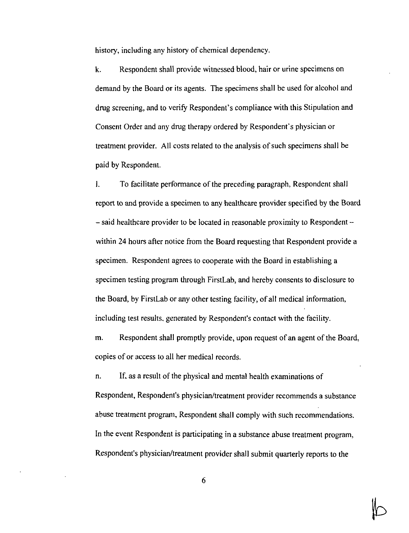history, including any history of chemical dependency.

k. Respondent shall provide witnessed blood, hair or urine specimens on demand by the Board or its agents. The specimens shall be used for alcohol and dmg screening, and to verify Respondent's compliance with this Stipulation and Consent Order and any drug therapy ordered by Respondent's physician or treatment provider. All costs related to the analysis of such specimens shall be paid by Respondent.

I. To facilitate performance of the preceding paragraph, Respondent shall report to and provide a specimen to any healthcare provider specified by the Board - said healthcare provider to be located in reasonable proximity to Respondent within 24 hours after notice from the Board requesting that Respondent provide a specimen. Respondent agrees to cooperate with the Board in establishing a specimen testing program through FirstLab, and hereby consents to disclosure to the Board, by FirstLab or any other testing facility, of all medical information, including tesl results, generated by Respondent's contaci with the facility.

m. Respondent shall promptly provide, upon request of an agent of the Board, copies of or access to all her medical records.

n. If, as a result of the physical and mental health examinations of Respondent, Respondent's physician/treatment provider recommends a substance abuse treatment program, Respondent shall comply with such recommendations. In the event Respondent is participating in a substance abuse treatment program, Respondent's physician/treatment provider shall submit quarterly reports to the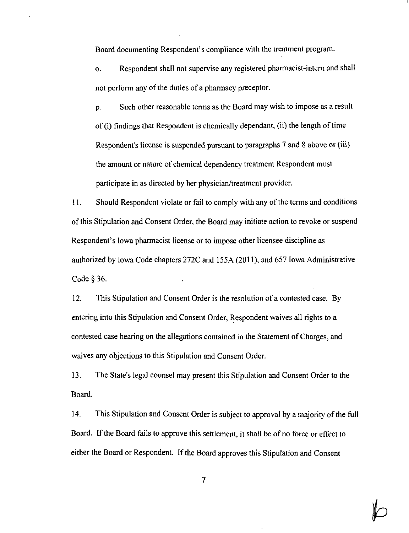Board documenting Respondent's compliance with the treaiment program.

o. Respondent shall not supervise any registered pharmacist-intem and shall not perform any of the duties of a pharmacy preceptor.

p. Such other reasonable terms as the Board may wish to impose as a result of (i) findings that Respondent is chemically dependant, (ii) the length of time Respondent's license is suspended pursuant to paragraphs 7 and 8 above or (iii) the amount or nature of chemical dependency treatment Respondent must participate in as directed by her physician/treatment provider.

11. Should Respondent violate or fail to comply with any ofthe terms and conditions of this Stipulation and Consent Order, the Board may initiate action to revoke or suspend Respondent's Iowa pharmacisl license or to impose other licensee discipline as authorized by Iowa Code chapters 272C and 155A (2011), and 657 Iowa Administrative Code § 36.

12. This Stipulation and Consent Order is the resolution of a contested case. By entering into this Stipulation and Conseni Order, Respondent waives all rights to a contested case hearing on the allegations contained in the Statement of Charges, and waives any objections to this Stipulation and Consent Order.

13. The State's legal counsel may present this Stipulation and Consent Order to the Board.

14. This Stipulation and Consent Order is subject to approval by a majority of the full Board. If the Board fails to approve this settlement, it shall be of no force or effect to either the Board or Respondent. If the Board approves this Stipulation and Consent

 $\mathbb{P}$ 

 $\overline{7}$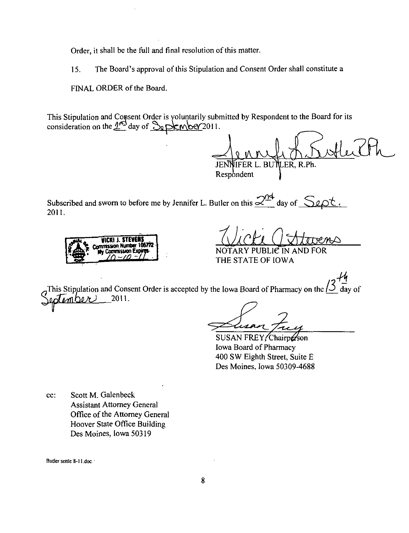Order, it shall be the full and final resolution of this matter.

15. The Board's approval of this Stipulation and Consent Order shall constitute a

FINAL ORDER of the Board.

This Stipulation and Consent Order is yoluntarily submitted by Respondent to the Board for its consideration on the  $2^{\prime}$  day of  $\sqrt{ }$  pKwber 2011.

 $A.5$ utleich

JENNIFER L. BUl\LER, R.Ph. Respondent

4 Subscribed and sworn to before me by Jennifer L. Butler on this  $\leq$  ay of  $\leq$   $\geq$   $\geq$ 2011.



NOTARY PUBLIC IN AND FOR THE STATE OF IOWA

,  $\boldsymbol{\tau}$  , This Stipulation and Consent Order is accepted by the Iowa Board of Pharmacy on the  $\Delta$  day of 2011.

SUSAN FREY, Chairperson Iowa Board of Pharmacy 400 SW Eighth Street, Suite E Des Moines, Iowa 50309-46S8

cc: Scott M. Galenbeck Assistant Attomey General Office of the Attorney General Hoover State Office Building Des Moines, Iowa 50319

Butler senle 8-11.doc -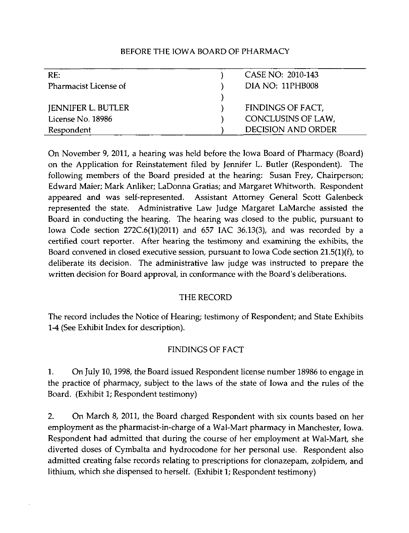| RE:                       | CASE NO: 2010-143         |
|---------------------------|---------------------------|
| Pharmacist License of     | DIA NO: 11PHB008          |
|                           |                           |
| <b>JENNIFER L. BUTLER</b> | FINDINGS OF FACT,         |
| License No. 18986         | CONCLUSINS OF LAW,        |
| Respondent                | <b>DECISION AND ORDER</b> |

On November 9, 2011, a hearing was held before the Iowa Board of Pharmacy (Board) on the Application for Reinstatement filed by Jennifer L. Butler (Respondent). The following members of the Board presided at the hearing: Susan Frey, Chairperson; Edward Maier; Mark Anliker; LaDonna Gratias; and Margaret Whitworth. Respondent appeared and was self-represented. Assistant Attomey General Scott Galenbeck represented the state. Administrative Law Judge Margaret LaMarche assisted the Board in conducting the hearing. The hearing was closed to the public, pursuant to Iowa Code section 272C.6(1)(2011) and 657 IAC 36.13(3), and was recorded by a certified court reporter. After hearing the testimony and examining the exhibits, the Board convened in closed executive session, pursuant to Iowa Code section 21.5(1)(f), to deliberate its decision. The administrative law judge was instructed to prepare the written decision for Board approval, in conformance with the Board's deliberations.

# THE RECORD

The record includes the Notice of Hearing; testimony of Respondent; and State Exhibits 1-4 (See Exhibit Index for description).

# FINDINGS OF FACT

1. On July 10,1998, the Board issued Respondent license number 18986 to engage in the practice of pharmacy, subject to the laws of the state of Iowa and the rules of the Board. (Exhibit 1; Respondent testimony)

2. On March 8, 2011, the Board charged Respondent with six counts based on her employment as the pharmacist-in-charge of a Wal-Mart pharmacy in Manchester, Iowa. Respondent had admitted that during the course of her employment at Wal-Mart, she diverted doses of Cymbalta and hydrocodone for her personal use. Respondent also admitted creating false records relating to prescriptions for clonazepam, zolpidem, and lithium, which she dispensed to herself. (Exhibit 1; Respondent testimony)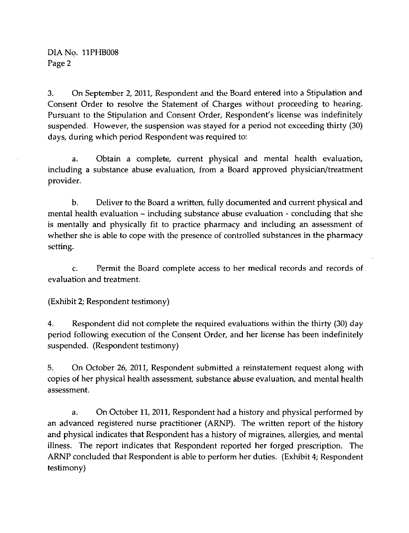DIA No. 11PHB008 Page 2

3. On September 2, 2011, Respondent and the Board entered into a Stipulation and Consent Order to resolve the Statement of Charges without proceeding to hearing. Pursuant to the Stipulation and Consent Order, Respondent's license was indefinitely suspended. However, the suspension was stayed for a period not exceeding thirty (30) days, during which period Respondent was required to:

a. Obtain a complete, current physical and mental health evaluation, including a substance abuse evaluation, from a Board approved physician/treatment provider.

b. Deliver to the Board a written, fully documented and current physical and mental health evaluation - including substance abuse evaluation - concluding that she is mentally and physically fit to practice pharmacy and including an assessment of whether she is able to cope with the presence of controlled substances in the pharmacy setting.

c. Permit the Board complete access to her medical records and records of evaluation and treatment.

(Exhibit 2; Respondent testimony)

4. Respondent did not complete the required evaluations within the thirty (30) day period following execution of the Consent Order, and her license has been indefinitely suspended. (Respondent testimony)

5. On October 26, 2011, Respondent submitted a reinstatement request along with copies of her physical health assessment, substance abuse evaluation, and mental health assessment.

a. On October 11, 2011, Respondent had a history and physical performed by an advanced registered nurse practitioner (ARNP). The written report of the history and physical indicates that Respondent has a history of migraines, allergies, and mental illness. The report indicates that Respondent reported her forged prescription. The ARNP concluded that Respondent is able to perform her duties. (Exhibit 4; Respondent testimony)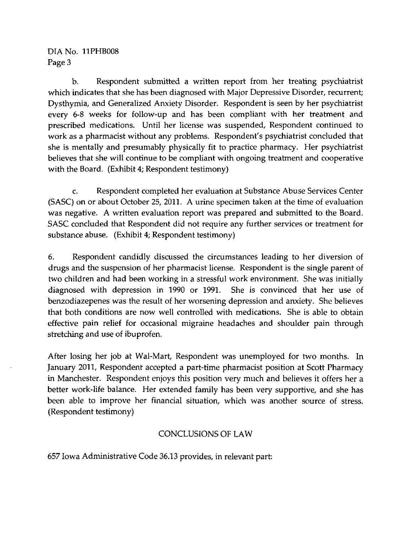DIA No. 11PHB008 Page 3

b. Respondent submitted a written report from her treating psychiatrist which indicates that she has been diagnosed with Major Depressive Disorder, recurrent; Dysthymia, and Generalized Anxiety Disorder. Respondent is seen by her psychiatrist every 6-8 weeks for follow-up and has been compliant with her treatment and prescribed medications. Until her license was suspended. Respondent continued to work as a pharmacist without any problems. Respondent's psychiatrist concluded that she is mentally and presumably physically fit to practice pharmacy. Her psychiatrist believes that she will continue to be compliant with ongoing treatment and cooperative with the Board. (Exhibit 4; Respondent testimony)

c. Respondent completed her evaluation at Substance Abuse Services Center (SASC) on or about October 25, 2011. A urine specimen taken at the time of evaluation was negative. A written evaluation report was prepared and submitted to the Board. SASC concluded that Respondent did not require any further services or treatment for substance abuse. (Exhibit 4; Respondent testimony)

6. Respondent candidly discussed the circumstances leading to her diversion of drugs and the suspension of her pharmacist license. Respondent is the single parent of two children and had been working in a stressful work environment. She was initially diagnosed with depression in 1990 or 1991. She is convinced that her use of benzodiazepenes was the result of her worsening depression and anxiety. She believes that both conditions are now well controlled with medications. She is able to obtain effective pain relief for occasional migraine headaches and shoulder pain through stretching and use of ibuprofen.

After losing her job at Wal-Mart, Respondent was unemployed for two months. In January 2011, Respondent accepted a part-time pharmacist position at Scott Pharmacy in Manchester. Respondent enjoys this position very much and believes it offers her a better work-life balance. Her extended family has been very supportive, and she has been able to improve her financial situation, which was another source of stress. (Respondent testimony)

# CONCLUSIONS OF LAW

657 Iowa Administrative Code 36.13 provides, in relevant part: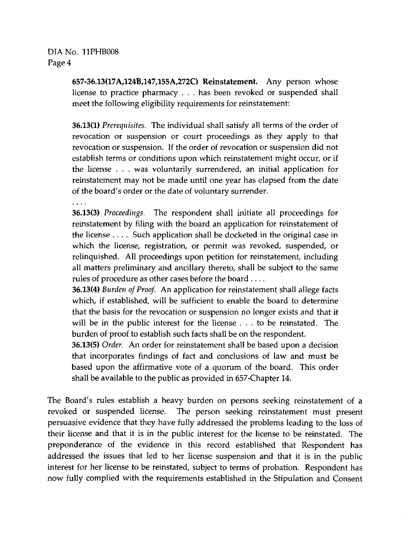# DIANo. 11PHB008 Page 4

657-36.13(17A,124B,147,155A,272C) Reinstatement. Any person whose license to practice pharmacy . . . has been revoked or suspended shall meet the following eligibility requirements for reinstatement:

36.13(1) Prerequisites. The individual shall satisfy all terms of the order of revocation or suspension or court proceedings as they apply to that revocation or suspension. If the order of revocation or suspension did not establish terms or conditions upon which reinstatement might occur, or if the license  $\ldots$  was voluntarily surrendered, an initial application for reinstatement may not be made until one year has elapsed from the date of the board's order or the date of voluntary surrender.

36.13(3) Proceedings. The respondent shall initiate all proceedings for reinstatement by filing with the board an application for reinstatement of the license ... . Such application shall be docketed in the original case in which the license, registration, or permit was revoked, suspended, or relinquished. All proceedings upon petition for reinstatement, including all matters preliminary and ancillary thereto, shall be subject to the same rules of procedure as other cases before the board ... .

36.13(4) Burden of Proof. An application for reinstatement shall allege facts which, if established, will be sufficient to enable the board to determine that the basis for the revocation or suspension no longer exists and that it will be in the public interest for the license .. . to be reinstated. The burden of proof to establish such facts shall be on the respondent.

36.13(5) Order. An order for reinstatement shall be based upon a decision that incorporates findings of fact and conclusions of law and must be based upon the affirmative vote of a quorum of the board. This order shall be available to the public as provided in 657-Chapter 14.

The Board's rules establish a heavy burden on persons seeking remstatement of a revoked or suspended license. The person seeking reinstatement must present persuasive evidence that they have fully addressed the problems leading to the loss of their license and that it is in the public mterest for the license to be reinstated. The preponderance of the evidence in this record established that Respondent has addressed the issues that led to her license suspension and that it is in the public interest for her license to be reinstated, subject to terms of probation. Respondent has now fully complied with the requirements established in the Stipulation and Consent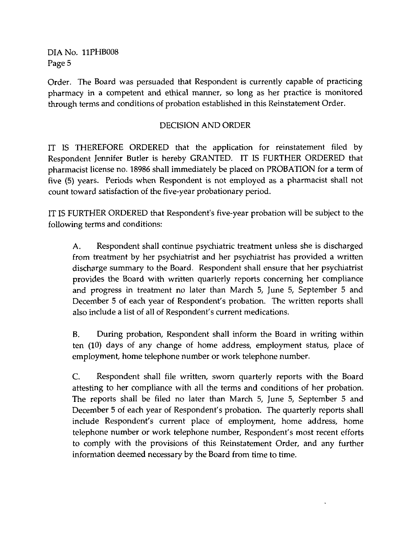DIANo. 11PHB008 Page 5

Order. The Board was persuaded that Respondent is currently capable of practicing pharmacy in a competent and ethical manner, so long as her practice is monitored through terms and conditions of probation established in this Reinstatement Order.

# DECISION AND ORDER

IT IS THEREFORE ORDERED that the application for reinstatement filed by Respondent Jennifer Butler is hereby GRANTED. IT IS FURTHER ORDERED that pharmacist license no. 18986 shall immediately be placed on PROBATION for a term of five (5) years. Periods when Respondent is not employed as a pharmacist shall not count toward satisfaction of the five-year probationary period.

IT IS FURTHER ORDERED that Respondent's five-year probation will be subject to the following terms and conditions:

A. Respondent shall continue psychiatric treatment unless she is discharged from treatment by her psychiatrist and her psychiatrist has provided a written discharge summary to the Board. Respondent shall ensure that her psychiatrist provides the Board with written quarterly reports conceming her compliance and progress in treatment no later than March 5, June 5, September 5 and December 5 of each year of Respondent's probation. The written reports shall also include a list of all of Respondent's current medications.

B. During probation. Respondent shall inform the Board in writing within ten (10) days of any change of home address, employment status, place of employment, home telephone number or work telephone number.

C. Respondent shall file written, swom quarterly reports with the Board attesting to her compliance with all the terms and conditions of her probation. The reports shall be filed no later than March 5, June 5, September 5 and December 5 of each year of Respondent's probation. The quarterly reports shall hiclude Respondent's current place of employment, home address, home telephone number or work telephone number. Respondent's most recent efforts to comply with the provisions of this Reinstatement Order, and any further information deemed necessary by the Board from time to time.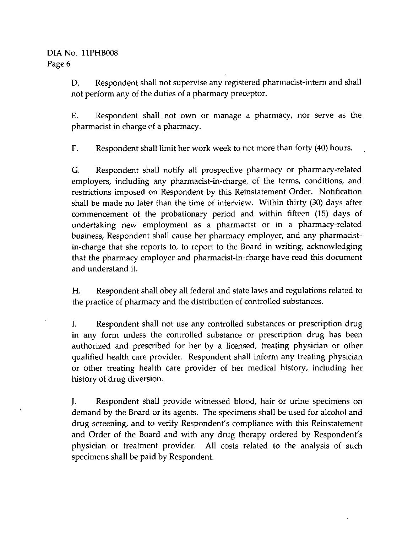# DIA No. 11PHB008 Page 6

D. Respondent shall not supervise any registered pharmacist-intem and shall not perform any of the duties of a pharmacy preceptor.

E. Respondent shall not own or manage a pharmacy, nor serve as the pharmacist in charge of a pharmacy.

F. Respondent shall limit her work week to not more than forty (40) hours.

G. Respondent shall notify all prospective pharmacy or pharmacy-related employers, including any pharmacist-in-charge, of the terms, conditions, and restrictions imposed on Respondent by this Remstatement Order. Notification shall be made no later than the time of interview. Within thirty (30) days after commencement of the probationary period and within fifteen (15) days of undertaking new employment as a pharmacist or in a pharmacy-related business. Respondent shall cause her pharmacy employer, and any pharmacistin-charge that she reports to, to report to the Board in writing, acknowledging that the pharmacy employer and pharmacist-in-charge have read this document and understand it.

H. Respondent shall obey all federal and state laws and regulations related to the practice of pharmacy and the distribution of controlled substances.

I. Respondent shall not use any controlled substances or prescription drug in any form unless the controlled substance or prescription drug has been authorized and prescribed for her by a licensed, treating physician or other qualified health care provider. Respondent shall inform any treating physician or other treating health care provider of her medical history, including her history of drug diversion.

J. Respondent shall provide witnessed blood, hair or urme specimens on demand by the Board or its agents. The specimens shall be used for alcohol and drug screening, and to verify Respondent's compliance with this Reinstatement and Order of the Board and with any drug therapy ordered by Respondent's physician or treatment provider. All costs related to the analysis of such specimens shall be paid by Respondent.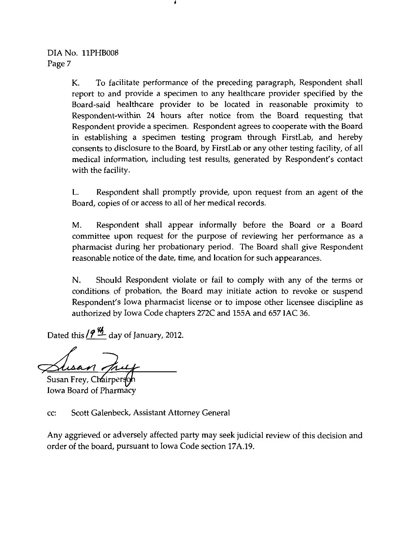K. To facilitate performance of the preceding paragraph. Respondent shall report to and provide a specimen to any healthcare provider specified by the Board-said healthcare provider to be located in reasonable proximity to Respondent-within 24 hours after notice from the Board requesting that Respondent provide a specimen. Respondent agrees to cooperate with the Board m establishing a specimen testing program through FirstLab, and hereby consents to disclosure to the Board, by FirstLab or any other testing facility, of all medical information, including test results, generated by Respondent's contact with the facility.

L. Respondent shall promptly provide, upon request from an agent of the Board, copies of or access to all of her medical records.

M. Respondent shall appear informally before the Board or a Board committee upon request for the purpose of reviewing her performance as a pharmacist during her probationary period. The Board shall give Respondent reasonable notice of the date, time, and location for such appearances.

N. Should Respondent violate or fail to comply with any of the terms or conditions of probation, the Board may initiate action to revoke or suspend Respondent's Iowa pharmacist license or to impose other licensee discipline as authorized by Iowa Code chapters 272C and 155A and 657 IAC 36.

Dated this  $/2$   $\frac{M}{2}$  day of January, 2012.

<u>Zusan</u><br>Susan Frey, Chairperson

Iowa Board of Pharmacy

cc: Scott Galenbeck, Assistant Attorney General

Any aggrieved or adversely affected party may seek judicial review of this decision and order of the board, pursuant to Iowa Code section 17A.19.